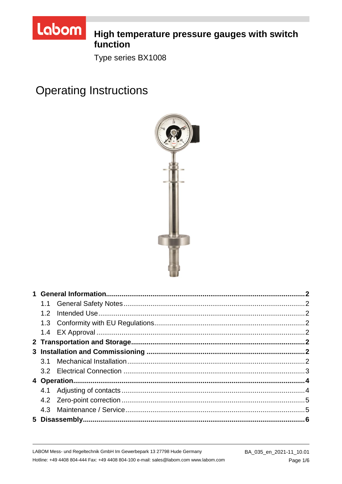

# High temperature pressure gauges with switch function

Type series BX1008

**Operating Instructions** 

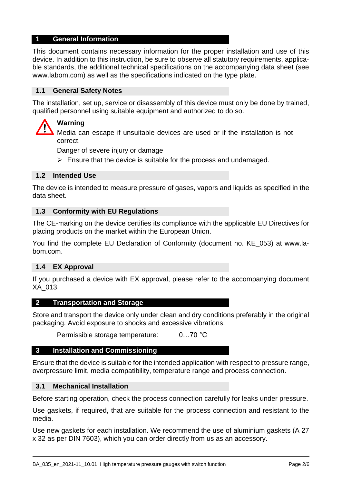### **1 General Information**

This document contains necessary information for the proper installation and use of this device. In addition to this instruction, be sure to observe all statutory requirements, applicable standards, the additional technical specifications on the accompanying data sheet (see www.labom.com) as well as the specifications indicated on the type plate.

## **1.1 General Safety Notes**

The installation, set up, service or disassembly of this device must only be done by trained, qualified personnel using suitable equipment and authorized to do so.

## **Warning**

Media can escape if unsuitable devices are used or if the installation is not correct.

Danger of severe injury or damage

 $\triangleright$  Ensure that the device is suitable for the process and undamaged.

### **1.2 Intended Use**

The device is intended to measure pressure of gases, vapors and liquids as specified in the data sheet.

#### **1.3 Conformity with EU Regulations**

The CE-marking on the device certifies its compliance with the applicable EU Directives for placing products on the market within the European Union.

You find the complete EU Declaration of Conformity (document no. KE\_053) at www.labom.com.

#### **1.4 EX Approval**

If you purchased a device with EX approval, please refer to the accompanying document XA\_013.

#### **2 Transportation and Storage**

Store and transport the device only under clean and dry conditions preferably in the original packaging. Avoid exposure to shocks and excessive vibrations.

Permissible storage temperature: 0…70 °C

#### **3 Installation and Commissioning**

Ensure that the device is suitable for the intended application with respect to pressure range, overpressure limit, media compatibility, temperature range and process connection.

#### **3.1 Mechanical Installation**

Before starting operation, check the process connection carefully for leaks under pressure.

Use gaskets, if required, that are suitable for the process connection and resistant to the media.

Use new gaskets for each installation. We recommend the use of aluminium gaskets (A 27 x 32 as per DIN 7603), which you can order directly from us as an accessory.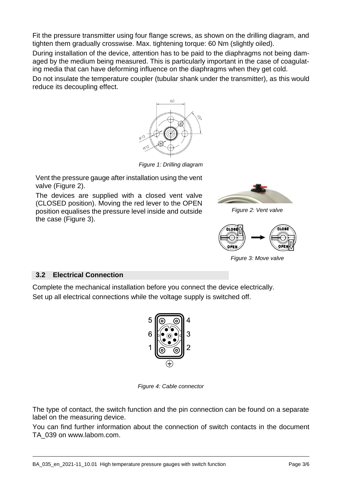Fit the pressure transmitter using four flange screws, as shown on the drilling diagram, and tighten them gradually crosswise. Max. tightening torque: 60 Nm (slightly oiled).

During installation of the device, attention has to be paid to the diaphragms not being damaged by the medium being measured. This is particularly important in the case of coagulating media that can have deforming influence on the diaphragms when they get cold.

Do not insulate the temperature coupler (tubular shank under the transmitter), as this would reduce its decoupling effect.



*Figure 1: Drilling diagram*

Vent the pressure gauge after installation using the vent valve (Figure [2\)](#page-2-0).

The devices are supplied with a closed vent valve (CLOSED position). Moving the red lever to the OPEN position equalises the pressure level inside and outside the case (Figure [3\)](#page-2-1).

<span id="page-2-0"></span>

*Figure 2: Vent valve*

<span id="page-2-1"></span>

*Figure 3: Move valve*

## **3.2 Electrical Connection**

Complete the mechanical installation before you connect the device electrically. Set up all electrical connections while the voltage supply is switched off.



*Figure 4: Cable connector*

The type of contact, the switch function and the pin connection can be found on a separate label on the measuring device.

You can find further information about the connection of switch contacts in the document TA\_039 on www.labom.com.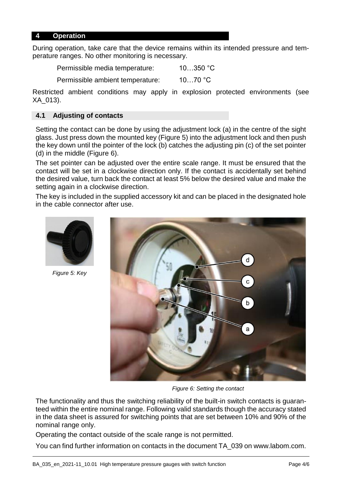#### **4 Operation**

During operation, take care that the device remains within its intended pressure and temperature ranges. No other monitoring is necessary.

Permissible media temperature: 10…350 °C

Permissible ambient temperature: 10…70 °C

Restricted ambient conditions may apply in explosion protected environments (see XA\_013).

## **4.1 Adjusting of contacts**

Setting the contact can be done by using the adjustment lock (a) in the centre of the sight glass. Just press down the mounted key (Figure [5\)](#page-3-0) into the adjustment lock and then push the key down until the pointer of the lock (b) catches the adjusting pin (c) of the set pointer (d) in the middle (Figure [6\)](#page-3-1).

The set pointer can be adjusted over the entire scale range. It must be ensured that the contact will be set in a clockwise direction only. If the contact is accidentally set behind the desired value, turn back the contact at least 5% below the desired value and make the setting again in a clockwise direction.

The key is included in the supplied accessory kit and can be placed in the designated hole in the cable connector after use.

<span id="page-3-0"></span>

*Figure 5: Key*

<span id="page-3-1"></span>

*Figure 6: Setting the contact*

The functionality and thus the switching reliability of the built-in switch contacts is guaranteed within the entire nominal range. Following valid standards though the accuracy stated in the data sheet is assured for switching points that are set between 10% and 90% of the nominal range only.

Operating the contact outside of the scale range is not permitted.

You can find further information on contacts in the document TA\_039 on www.labom.com.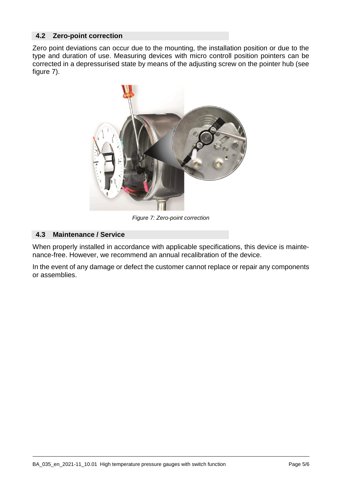## **4.2 Zero-point correction**

<span id="page-4-0"></span>Zero point deviations can occur due to the mounting, the installation position or due to the type and duration of use. Measuring devices with micro controll position pointers can be corrected in a depressurised state by means of the adjusting screw on the pointer hub (see figure [7\)](#page-4-0).



*Figure 7: Zero-point correction*

## **4.3 Maintenance / Service**

When properly installed in accordance with applicable specifications, this device is maintenance-free. However, we recommend an annual recalibration of the device.

In the event of any damage or defect the customer cannot replace or repair any components or assemblies.